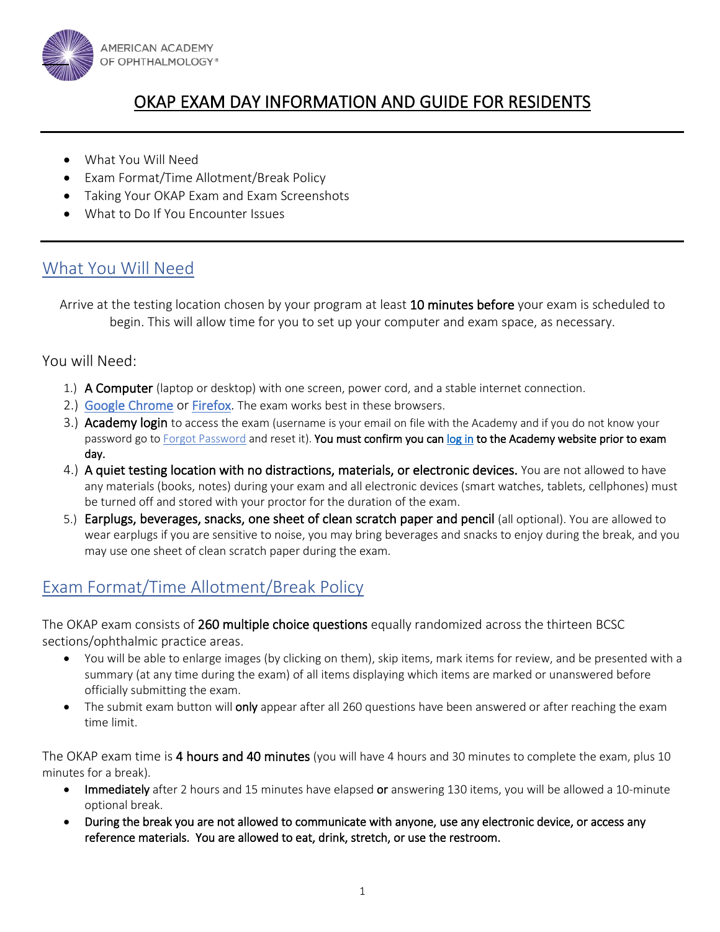

# OKAP EXAM DAY INFORMATION AND GUIDE FOR RESIDENTS

- What You Will Need
- Exam Format/Time Allotment/Break Policy
- Taking Your OKAP Exam and Exam Screenshots
- What to Do If You Encounter Issues

## What You Will Need

Arrive at the testing location chosen by your program at least 10 minutes before your exam is scheduled to begin. This will allow time for you to set up your computer and exam space, as necessary.

#### You will Need:

- 1.) A Computer (laptop or desktop) with one screen, power cord, and a stable internet connection.
- 2.) [Google Chrome](https://www.google.com/chrome/) or [Firefox.](https://www.mozilla.org/en-US/firefox/new/) The exam works best in these browsers.
- 3.) Academy login to access the exam (username is your email on file with the Academy and if you do not know your password go to [Forgot Password](https://secure.aao.org/aao/Login/ForgotPassword1) and reset it). You must confirm you can [log in](https://secure.aao.org/aao/Login?returnUrl=https%3a%2f%2fwww.aao.org%2f) to the Academy website prior to exam day.
- 4.) A quiet testing location with no distractions, materials, or electronic devices. You are not allowed to have any materials (books, notes) during your exam and all electronic devices (smart watches, tablets, cellphones) must be turned off and stored with your proctor for the duration of the exam.
- 5.) Earplugs, beverages, snacks, one sheet of clean scratch paper and pencil (all optional). You are allowed to wear earplugs if you are sensitive to noise, you may bring beverages and snacks to enjoy during the break, and you may use one sheet of clean scratch paper during the exam.

## Exam Format/Time Allotment/Break Policy

The OKAP exam consists of 260 multiple choice questions equally randomized across the thirteen BCSC sections/ophthalmic practice areas.

- You will be able to enlarge images (by clicking on them), skip items, mark items for review, and be presented with a summary (at any time during the exam) of all items displaying which items are marked or unanswered before officially submitting the exam.
- The submit exam button will only appear after all 260 questions have been answered or after reaching the exam time limit.

The OKAP exam time is 4 hours and 40 minutes (you will have 4 hours and 30 minutes to complete the exam, plus 10 minutes for a break).

- Immediately after 2 hours and 15 minutes have elapsed or answering 130 items, you will be allowed a 10-minute optional break.
- During the break you are not allowed to communicate with anyone, use any electronic device, or access any reference materials. You are allowed to eat, drink, stretch, or use the restroom.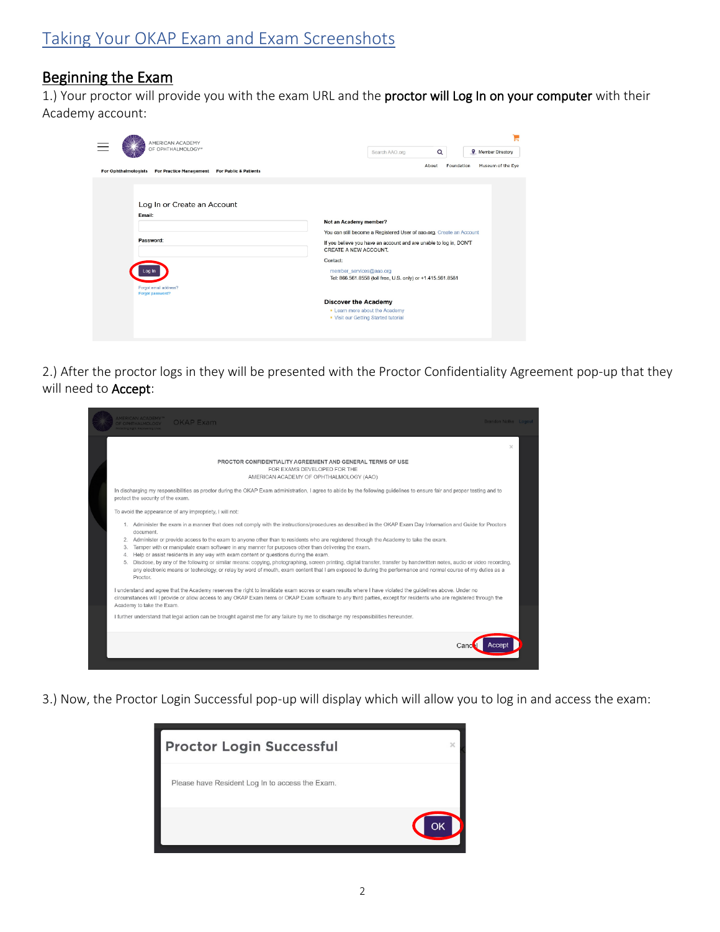#### Beginning the Exam

1.) Your proctor will provide you with the exam URL and the proctor will Log In on your computer with their Academy account:

| AMERICAN ACADEMY                                                                                          |                                                                                                                                                                                                                                                                                                                                                                                                              |
|-----------------------------------------------------------------------------------------------------------|--------------------------------------------------------------------------------------------------------------------------------------------------------------------------------------------------------------------------------------------------------------------------------------------------------------------------------------------------------------------------------------------------------------|
| OF OPHTHALMOLOGY*                                                                                         | Q<br><b>Q</b> Member Directory<br>Search AAO.org                                                                                                                                                                                                                                                                                                                                                             |
| <b>For Practice Management</b><br><b>For Ophthalmologists</b><br><b>For Public &amp; Patients</b>         | Museum of the Eye<br>About<br>Foundation                                                                                                                                                                                                                                                                                                                                                                     |
| Log In or Create an Account<br>Email:<br>Password:<br>.oa In<br>Forgot email address?<br>Forgot password? | Not an Academy member?<br>You can still become a Registered User of aao.org. Create an Account<br>If you believe you have an account and are unable to log in, DON'T<br>CREATE A NEW ACCOUNT.<br>Contact:<br>member_services@aao.org<br>Tel: 866.561.8558 (toll free, U.S. only) or +1.415.561.8581<br><b>Discover the Academy</b><br>• Learn more about the Academy<br>. Visit our Getting Started tutorial |

2.) After the proctor logs in they will be presented with the Proctor Confidentiality Agreement pop-up that they will need to Accept:

|                                  | <b>MERICAN ACADEMY</b> <sup>N</sup><br><b>OKAP Exam</b><br>F OPHTHALMOLOGY                                                                                                                                                                                                                                                                                                                                                                                                                                                                                                                                                                                                                                                                                                                                                                                           | Brandon Nolke Logout |  |
|----------------------------------|----------------------------------------------------------------------------------------------------------------------------------------------------------------------------------------------------------------------------------------------------------------------------------------------------------------------------------------------------------------------------------------------------------------------------------------------------------------------------------------------------------------------------------------------------------------------------------------------------------------------------------------------------------------------------------------------------------------------------------------------------------------------------------------------------------------------------------------------------------------------|----------------------|--|
|                                  |                                                                                                                                                                                                                                                                                                                                                                                                                                                                                                                                                                                                                                                                                                                                                                                                                                                                      | $\times$             |  |
|                                  | PROCTOR CONFIDENTIALITY AGREEMENT AND GENERAL TERMS OF USE<br>FOR EXAMS DEVELOPED FOR THE<br>AMERICAN ACADEMY OF OPHTHALMOLOGY (AAO)                                                                                                                                                                                                                                                                                                                                                                                                                                                                                                                                                                                                                                                                                                                                 |                      |  |
|                                  | In discharging my responsibilities as proctor during the OKAP Exam administration, I agree to abide by the following guidelines to ensure fair and proper testing and to<br>protect the security of the exam.                                                                                                                                                                                                                                                                                                                                                                                                                                                                                                                                                                                                                                                        |                      |  |
|                                  | To avoid the appearance of any impropriety, I will not:                                                                                                                                                                                                                                                                                                                                                                                                                                                                                                                                                                                                                                                                                                                                                                                                              |                      |  |
| 2.<br>3.<br>$\overline{4}$<br>5. | 1. Administer the exam in a manner that does not comply with the instructions/procedures as described in the OKAP Exam Day Information and Guide for Proctors<br>document.<br>Administer or provide access to the exam to anyone other than to residents who are registered through the Academy to take the exam.<br>Tamper with or manipulate exam software in any manner for purposes other than delivering the exam.<br>Help or assist residents in any way with exam content or questions during the exam.<br>Disclose, by any of the following or similar means: copying, photographing, screen printing, digital transfer, transfer by handwritten notes, audio or video recording,<br>any electronic means or technology, or relay by word of mouth, exam content that I am exposed to during the performance and normal course of my duties as a<br>Proctor. |                      |  |
|                                  | I understand and agree that the Academy reserves the right to invalidate exam scores or exam results where I have violated the quidelines above. Under no<br>circumstances will I provide or allow access to any OKAP Exam items or OKAP Exam software to any third parties, except for residents who are registered through the<br>Academy to take the Exam.                                                                                                                                                                                                                                                                                                                                                                                                                                                                                                        |                      |  |
|                                  | I further understand that legal action can be brought against me for any failure by me to discharge my responsibilities hereunder.                                                                                                                                                                                                                                                                                                                                                                                                                                                                                                                                                                                                                                                                                                                                   |                      |  |
|                                  |                                                                                                                                                                                                                                                                                                                                                                                                                                                                                                                                                                                                                                                                                                                                                                                                                                                                      |                      |  |

3.) Now, the Proctor Login Successful pop-up will display which will allow you to log in and access the exam:

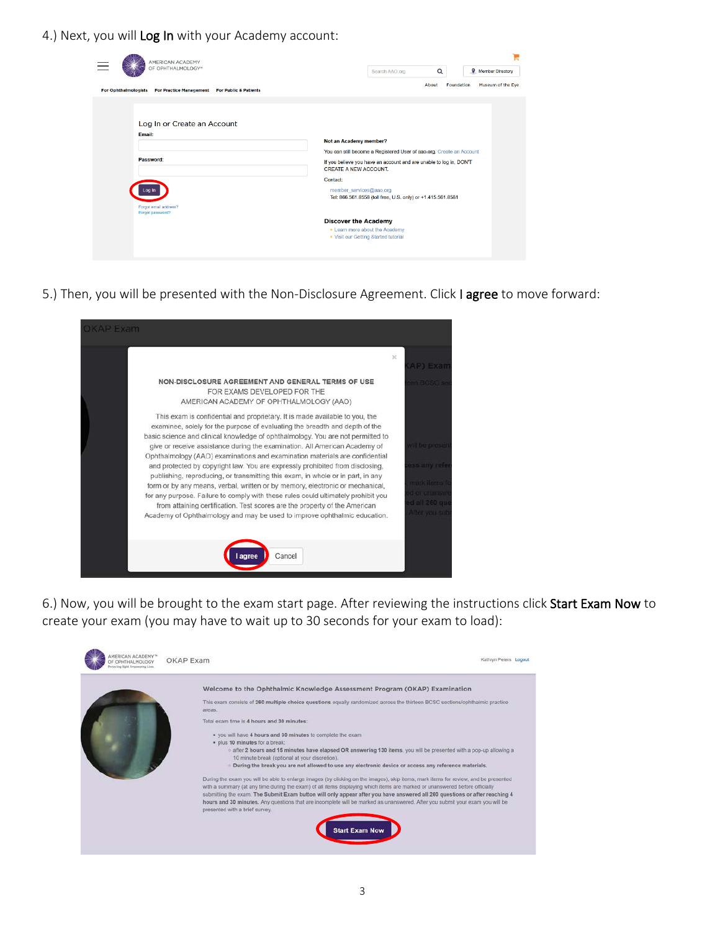4.) Next, you will Log In with your Academy account:

| AMERICAN ACADEMY                                                                                          |                                                                                                                                                                                                                                                                                                     |
|-----------------------------------------------------------------------------------------------------------|-----------------------------------------------------------------------------------------------------------------------------------------------------------------------------------------------------------------------------------------------------------------------------------------------------|
| OF OPHTHALMOLOGY*                                                                                         | $\alpha$<br><b>Q</b> Member Directory<br>Search AAO.org                                                                                                                                                                                                                                             |
| <b>For Ophthalmologists</b><br><b>For Practice Management</b><br><b>For Public &amp; Patients</b>         | Museum of the Eye<br>About<br>Foundation                                                                                                                                                                                                                                                            |
| Log In or Create an Account<br>Email:<br>Password:<br>.oa In<br>Forgot email address?<br>Forgot password? | Not an Academy member?<br>You can still become a Registered User of aao.org. Create an Account<br>If you believe you have an account and are unable to log in, DON'T<br>CREATE A NEW ACCOUNT.<br>Contact:<br>member_services@aao.org<br>Tel: 866.561.8558 (toll free, U.S. only) or +1.415.561.8581 |
|                                                                                                           | <b>Discover the Academy</b><br>• Learn more about the Academy<br>. Visit our Getting Started tutorial                                                                                                                                                                                               |

5.) Then, you will be presented with the Non-Disclosure Agreement. Click I agree to move forward:



6.) Now, you will be brought to the exam start page. After reviewing the instructions click Start Exam Now to create your exam (you may have to wait up to 30 seconds for your exam to load):

| OPHTHALMOLOGY<br>Protecting Sight, Employeesing Lives | OKAP Exam                                                                                                                                                                                                                                                                                                                                                                                                                                                                                                                                                          | Kathryn Peters Logout |
|-------------------------------------------------------|--------------------------------------------------------------------------------------------------------------------------------------------------------------------------------------------------------------------------------------------------------------------------------------------------------------------------------------------------------------------------------------------------------------------------------------------------------------------------------------------------------------------------------------------------------------------|-----------------------|
|                                                       | Welcome to the Ophthalmic Knowledge Assessment Program (OKAP) Examination                                                                                                                                                                                                                                                                                                                                                                                                                                                                                          |                       |
|                                                       | This exam consists of 260 multiple choice questions equally randomized across the thirteen BCSC sections/ophthalmic practice<br>areas.                                                                                                                                                                                                                                                                                                                                                                                                                             |                       |
|                                                       | Total exam time is 4 hours and 30 minutes:                                                                                                                                                                                                                                                                                                                                                                                                                                                                                                                         |                       |
|                                                       | . you will have 4 hours and 30 minutes to complete the exam<br>· plus 10 minutes for a break:<br>o after 2 hours and 15 minutes have elapsed OR answering 130 items, you will be presented with a pop-up allowing a<br>10 minute break (optional at your discretion).<br>. During the break you are not allowed to use any electronic device or access any reference materials.                                                                                                                                                                                    |                       |
|                                                       | During the exam you will be able to enlarge images (by clicking on the images), skip items, mark items for review, and be presented<br>with a summary (at any time during the exam) of all items displaying which items are marked or unanswered before officially<br>submitting the exam. The Submit Exam button will only appear after you have answered all 260 questions or after reaching 4<br>hours and 30 minutes. Any questions that are incomplete will be marked as unanswered. After you submit your exam you will be<br>presented with a brief survey. |                       |
|                                                       | <b>Start Exam Now</b>                                                                                                                                                                                                                                                                                                                                                                                                                                                                                                                                              |                       |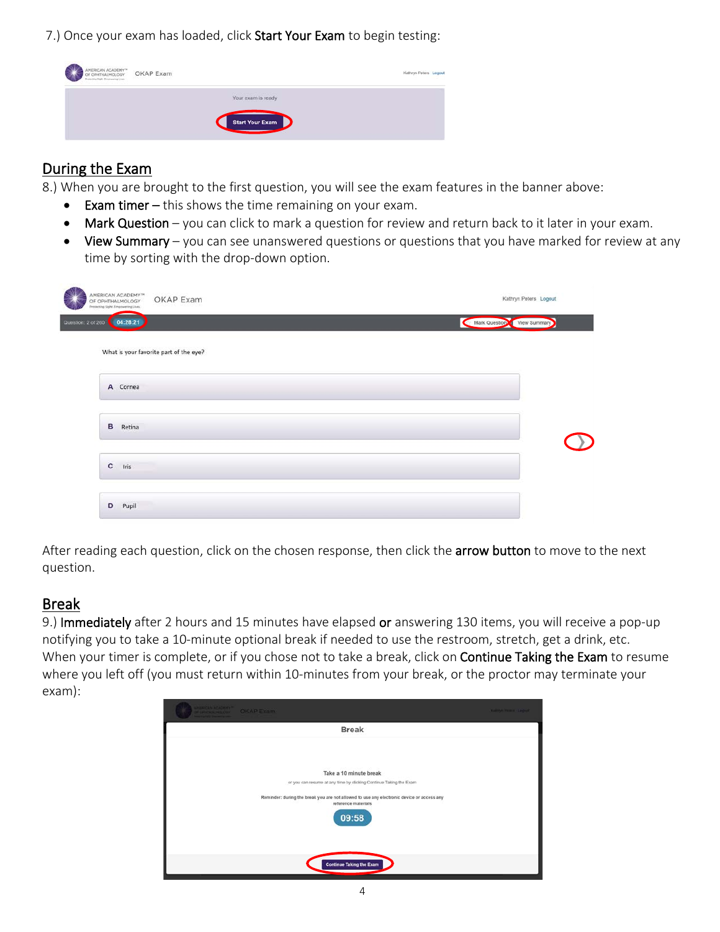7.) Once your exam has loaded, click Start Your Exam to begin testing:



### During the Exam

8.) When you are brought to the first question, you will see the exam features in the banner above:

- Exam timer this shows the time remaining on your exam.
- Mark Question you can click to mark a question for review and return back to it later in your exam.
- View Summary you can see unanswered questions or questions that you have marked for review at any time by sorting with the drop-down option.

| AMERICAN ACADEMY <sup>™</sup><br>OKAP Exam<br>OF OPHTHALMOLOGY<br>Protecting Sight. Empowering Lives. | Kathryn Peters Logout      |
|-------------------------------------------------------------------------------------------------------|----------------------------|
| Question: 2 of 260<br>04:28:21                                                                        | Mark Question View Summary |
| What is your favorite part of the eye?                                                                |                            |
| A Cornea                                                                                              |                            |
| в<br>Retina                                                                                           |                            |
| $\mathbf{c}$<br>Iris                                                                                  |                            |
| D<br>Pupil                                                                                            |                            |

After reading each question, click on the chosen response, then click the arrow button to move to the next question.

### Break

9.) Immediately after 2 hours and 15 minutes have elapsed or answering 130 items, you will receive a pop-up notifying you to take a 10-minute optional break if needed to use the restroom, stretch, get a drink, etc. When your timer is complete, or if you chose not to take a break, click on Continue Taking the Exam to resume where you left off (you must return within 10-minutes from your break, or the proctor may terminate your exam):

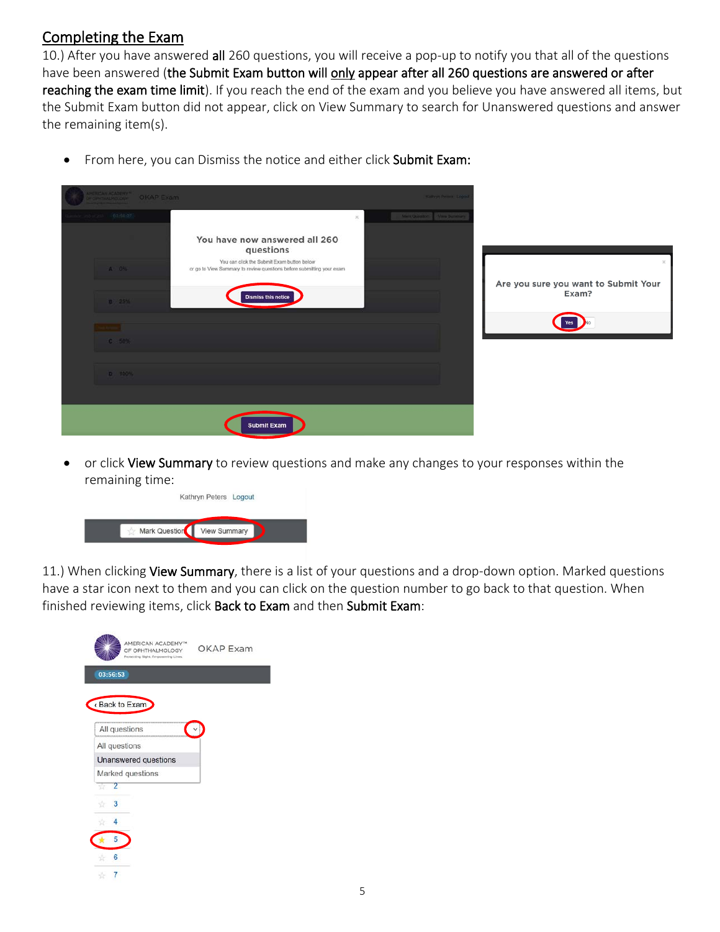#### Completing the Exam

10.) After you have answered all 260 questions, you will receive a pop-up to notify you that all of the questions have been answered (the Submit Exam button will only appear after all 260 questions are answered or after reaching the exam time limit). If you reach the end of the exam and you believe you have answered all items, but the Submit Exam button did not appear, click on View Summary to search for Unanswered questions and answer the remaining item(s).

| • From here, you can Dismiss the notice and either click Submit Exam: |
|-----------------------------------------------------------------------|
|                                                                       |

| <b>HERICAN ACADEMY<sup>NE</sup></b><br>COMMUNIMATION | <b>OKAP Exam</b>                                                                                                                                                                                |               | Kidnyn Permit: Logod           |                                                                  |
|------------------------------------------------------|-------------------------------------------------------------------------------------------------------------------------------------------------------------------------------------------------|---------------|--------------------------------|------------------------------------------------------------------|
| $-0.1021$<br>A 0%<br>B 25%<br>$C = 5036$<br>D 100%   | You have now answered all 260<br>questions<br>You can click the Submit Exam button below<br>or go to View Summary to review questions before submitting your exam<br><b>Dismiss this notice</b> | $\mathcal{L}$ | Mark Question   View Burningry | $\times$<br>Are you sure you want to Submit Your<br>Exam?<br>Yes |
|                                                      | <b>Submit Exam</b>                                                                                                                                                                              |               |                                |                                                                  |

• or click View Summary to review questions and make any changes to your responses within the remaining time:

|               | Kathryn Peters Logout |  |
|---------------|-----------------------|--|
| Mark Question | <b>View Summary</b>   |  |

11.) When clicking View Summary, there is a list of your questions and a drop-down option. Marked questions have a star icon next to them and you can click on the question number to go back to that question. When finished reviewing items, click Back to Exam and then Submit Exam:

|          | AMERICAN ACADEMY <sup>74</sup><br>OF OPHTHALMOLOGY<br>Protecting Sight, Empowering Lives. | <b>OKAP Exam</b> |
|----------|-------------------------------------------------------------------------------------------|------------------|
| 03:56:53 |                                                                                           |                  |
|          | Back to Exam                                                                              |                  |
|          | All questions                                                                             |                  |
|          | All questions                                                                             |                  |
|          | Unanswered questions                                                                      |                  |
|          | Marked questions                                                                          |                  |
| 2<br>ŵ   |                                                                                           |                  |
| 3<br>诈   |                                                                                           |                  |
| 4        |                                                                                           |                  |
| 5        |                                                                                           |                  |
| 6        |                                                                                           |                  |
|          |                                                                                           |                  |